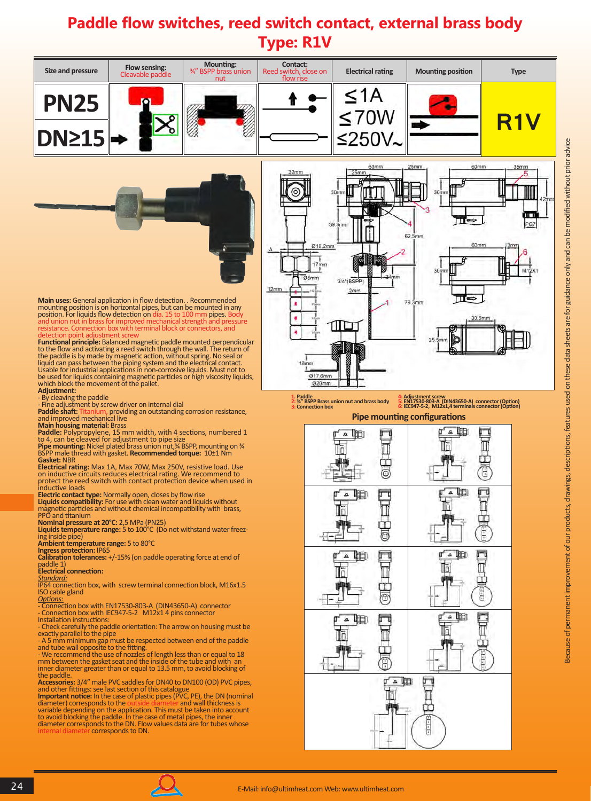## **Paddle flow switches, reed switch contact, external brass body Type: R1V**



24